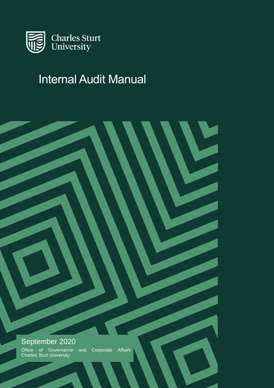

# Internal Audit Manual

# September 2020 Office of Governance and Corporate Affairs Charles Sturt University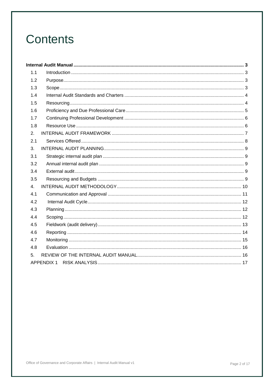# **Contents**

| 1.1            |                   |  |  |  |  |  |
|----------------|-------------------|--|--|--|--|--|
| 1.2            |                   |  |  |  |  |  |
| 1.3            |                   |  |  |  |  |  |
| 1.4            |                   |  |  |  |  |  |
| 1.5            |                   |  |  |  |  |  |
| 1.6            |                   |  |  |  |  |  |
| 1.7            |                   |  |  |  |  |  |
| 1.8            |                   |  |  |  |  |  |
| 2.             |                   |  |  |  |  |  |
| 2.1            |                   |  |  |  |  |  |
| 3.             |                   |  |  |  |  |  |
| 3.1            |                   |  |  |  |  |  |
| 3.2            |                   |  |  |  |  |  |
| 3.4            |                   |  |  |  |  |  |
| 3.5            |                   |  |  |  |  |  |
| $\mathbf{4}$ . |                   |  |  |  |  |  |
| 4.1            |                   |  |  |  |  |  |
| 4.2            |                   |  |  |  |  |  |
| 4.3            |                   |  |  |  |  |  |
| 4.4            |                   |  |  |  |  |  |
| 4.5            |                   |  |  |  |  |  |
| 4.6            |                   |  |  |  |  |  |
| 4.7            |                   |  |  |  |  |  |
| 4.8            |                   |  |  |  |  |  |
| 5.             |                   |  |  |  |  |  |
|                | <b>APPENDIX 1</b> |  |  |  |  |  |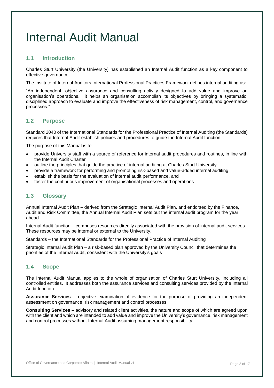# <span id="page-2-0"></span>Internal Audit Manual

# <span id="page-2-1"></span>**1.1 Introduction**

Charles Sturt University (the University) has established an Internal Audit function as a key component to effective governance.

The Institute of Internal Auditors International Professional Practices Framework defines internal auditing as:

"An independent, objective assurance and consulting activity designed to add value and improve an organisation's operations. It helps an organisation accomplish its objectives by bringing a systematic, disciplined approach to evaluate and improve the effectiveness of risk management, control, and governance processes."

# <span id="page-2-2"></span>**1.2 Purpose**

Standard 2040 of the International Standards for the Professional Practice of Internal Auditing (the Standards) requires that Internal Audit establish policies and procedures to guide the Internal Audit function.

The purpose of this Manual is to:

- provide University staff with a source of reference for internal audit procedures and routines, in line with the Internal Audit Charter
- outline the principles that guide the practice of internal auditing at Charles Sturt University
- provide a framework for performing and promoting risk-based and value-added internal auditing
- establish the basis for the evaluation of internal audit performance, and
- <span id="page-2-3"></span>foster the continuous improvement of organisational processes and operations

# **1.3 Glossary**

Annual Internal Audit Plan – derived from the Strategic Internal Audit Plan, and endorsed by the Finance, Audit and Risk Committee, the Annual Internal Audit Plan sets out the internal audit program for the year ahead

Internal Audit function – comprises resources directly associated with the provision of internal audit services. These resources may be internal or external to the University.

Standards – the International Standards for the Professional Practice of Internal Auditing

Strategic Internal Audit Plan – a risk-based plan approved by the University Council that determines the priorities of the Internal Audit, consistent with the University's goals

# **1.4 Scope**

The Internal Audit Manual applies to the whole of organisation of Charles Sturt University, including all controlled entities. It addresses both the assurance services and consulting services provided by the Internal Audit function.

**Assurance Services** – objective examination of evidence for the purpose of providing an independent assessment on governance, risk management and control processes

**Consulting Services** – advisory and related client activities, the nature and scope of which are agreed upon with the client and which are intended to add value and improve the University's governance, risk management and control processes without Internal Audit assuming management responsibility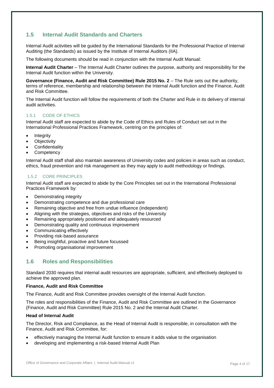# <span id="page-3-0"></span>**1.5 Internal Audit Standards and Charters**

Internal Audit activities will be guided by the International Standards for the Professional Practice of Internal Auditing (the Standards) as issued by the Institute of Internal Auditors (IIA).

The following documents should be read in conjunction with the Internal Audit Manual:

**Internal Audit Charter** – The Internal Audit Charter outlines the purpose, authority and responsibility for the Internal Audit function within the University.

**Governance (Finance, Audit and Risk Committee) Rule 2015 No. 2** – The Rule sets out the authority, terms of reference, membership and relationship between the Internal Audit function and the Finance, Audit and Risk Committee.

The Internal Audit function will follow the requirements of both the Charter and Rule in its delivery of internal audit activities.

#### 1.5.1 CODE OF ETHICS

Internal Audit staff are expected to abide by the Code of Ethics and Rules of Conduct set out in the International Professional Practices Framework, centring on the principles of:

- Integrity
- **Objectivity**
- **Confidentiality**
- **Competency**

Internal Audit staff shall also maintain awareness of University codes and policies in areas such as conduct, ethics, fraud prevention and risk management as they may apply to audit methodology or findings.

#### 1.5.2 CORE PRINCIPLES

Internal Audit staff are expected to abide by the Core Principles set out in the International Professional Practices Framework by:

- Demonstrating integrity
- Demonstrating competence and due professional care
- Remaining objective and free from undue influence (independent)
- Aligning with the strategies, objectives and risks of the University
- Remaining appropriately positioned and adequately resourced
- Demonstrating quality and continuous improvement
- Communicating effectively
- Providing risk-based assurance
- Being insightful, proactive and future focussed
- Promoting organisational improvement

# <span id="page-3-1"></span>**1.6 Roles and Responsibilities**

Standard 2030 requires that internal audit resources are appropriate, sufficient, and effectively deployed to achieve the approved plan.

#### **Finance, Audit and Risk Committee**

The Finance, Audit and Risk Committee provides oversight of the Internal Audit function.

The roles and responsibilities of the Finance, Audit and Risk Committee are outlined in the Governance (Finance, Audit and Risk Committee) Rule 2015 No. 2 and the Internal Audit Charter.

#### **Head of Internal Audit**

The Director, Risk and Compliance, as the Head of Internal Audit is responsible, in consultation with the Finance, Audit and Risk Committee, for:

- effectively managing the Internal Audit function to ensure it adds value to the organisation
- developing and implementing a risk-based Internal Audit Plan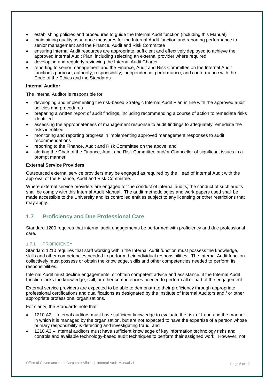- establishing policies and procedures to guide the Internal Audit function (including this Manual)
- maintaining quality assurance measures for the Internal Audit function and reporting performance to senior management and the Finance, Audit and Risk Committee
- ensuring Internal Audit resources are appropriate, sufficient and effectively deployed to achieve the approved Internal Audit Plan, including selecting an external provider where required
- developing and regularly reviewing the Internal Audit Charter
- reporting to senior management and the Finance, Audit and Risk Committee on the Internal Audit function's purpose, authority, responsibility, independence, performance, and conformance with the Code of the Ethics and the Standards

#### **Internal Auditor**

The Internal Auditor is responsible for:

- developing and implementing the risk-based Strategic Internal Audit Plan in line with the approved audit policies and procedures
- preparing a written report of audit findings, including recommending a course of action to remediate risks identified
- assessing the appropriateness of management response to audit findings to adequately remediate the risks identified
- monitoring and reporting progress in implementing approved management responses to audit recommendations
- reporting to the Finance, Audit and Risk Committee on the above, and
- alerting the Chair of the Finance, Audit and Risk Committee and/or Chancellor of significant issues in a prompt manner

#### **External Service Providers**

Outsourced external service providers may be engaged as required by the Head of Internal Audit with the approval of the Finance, Audit and Risk Committee.

Where external service providers are engaged for the conduct of internal audits, the conduct of such audits shall be comply with this Internal Audit Manual. The audit methodologies and work papers used shall be made accessible to the University and its controlled entities subject to any licensing or other restrictions that may apply.

# <span id="page-4-0"></span>**1.7 Proficiency and Due Professional Care**

Standard 1200 requires that internal audit engagements be performed with proficiency and due professional care.

#### 1.7.1 PROFICIENCY

Standard 1210 requires that staff working within the Internal Audit function must possess the knowledge, skills and other competencies needed to perform their individual responsibilities. The Internal Audit function collectively must possess or obtain the knowledge, skills and other competencies needed to perform its responsibilities.

Internal Audit must decline engagements, or obtain competent advice and assistance, if the Internal Audit function lacks the knowledge, skill, or other competencies needed to perform all or part of the engagement.

External service providers are expected to be able to demonstrate their proficiency through appropriate professional certifications and qualifications as designated by the Institute of Internal Auditors and / or other appropriate professional organisations.

For clarity, the Standards note that:

- 1210.A2 Internal auditors must have sufficient knowledge to evaluate the risk of fraud and the manner in which it is managed by the organisation, but are not expected to have the expertise of a person whose primary responsibility is detecting and investigating fraud, and
- 1210.A3 Internal auditors must have sufficient knowledge of key information technology risks and controls and available technology-based audit techniques to perform their assigned work. However, not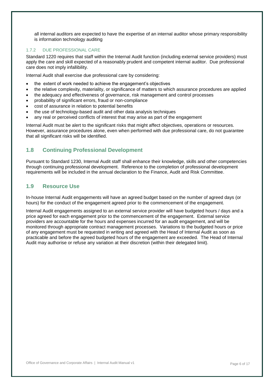all internal auditors are expected to have the expertise of an internal auditor whose primary responsibility is information technology auditing

### 1.7.2 DUE PROFESSIONAL CARE

Standard 1220 requires that staff within the Internal Audit function (including external service providers) must apply the care and skill expected of a reasonably prudent and competent internal auditor. Due professional care does not imply infallibility.

Internal Audit shall exercise due professional care by considering:

- the extent of work needed to achieve the engagement's objectives
- the relative complexity, materiality, or significance of matters to which assurance procedures are applied
- the adequacy and effectiveness of governance, risk management and control processes
- probability of significant errors, fraud or non-compliance
- cost of assurance in relation to potential benefits
- the use of technology-based audit and other data analysis techniques
- any real or perceived conflicts of interest that may arise as part of the engagement

Internal Audit must be alert to the significant risks that might affect objectives, operations or resources. However, assurance procedures alone, even when performed with due professional care, do not guarantee that all significant risks will be identified.

# <span id="page-5-0"></span>**1.8 Continuing Professional Development**

Pursuant to Standard 1230, Internal Audit staff shall enhance their knowledge, skills and other competencies through continuing professional development. Reference to the completion of professional development requirements will be included in the annual declaration to the Finance, Audit and Risk Committee.

# <span id="page-5-1"></span>**1.9 Resource Use**

In-house Internal Audit engagements will have an agreed budget based on the number of agreed days (or hours) for the conduct of the engagement agreed prior to the commencement of the engagement.

Internal Audit engagements assigned to an external service provider will have budgeted hours / days and a price agreed for each engagement prior to the commencement of the engagement. External service providers are accountable for the hours and expenses incurred for an audit engagement, and will be monitored through appropriate contract management processes. Variations to the budgeted hours or price of any engagement must be requested in writing and agreed with the Head of Internal Audit as soon as practicable and before the agreed budgeted hours of the engagement are exceeded. The Head of Internal Audit may authorise or refuse any variation at their discretion (within their delegated limit).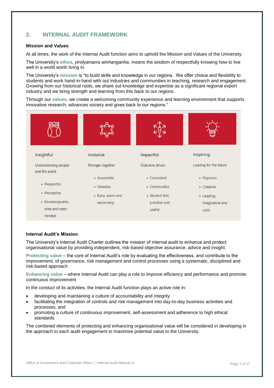# <span id="page-6-0"></span>**2. INTERNAL AUDIT FRAMEWORK**

#### **Mission and Values**

At all times, the work of the Internal Audit function aims to uphold the Mission and Values of the University.

The University's **ethos**, *yindyamarra winhanganha*, means the wisdom of respectfully knowing how to live well in a world worth living in.

The University's **mission** is "to build skills and knowledge in our regions. We offer choice and flexibility to students and work hand-in-hand with out industries and communities in teaching, research and engagement. Growing from our historical roots, we share out knowledge and expertise as a significant regional export industry and we bring strength and learning from this back to our regions.

Through our **values**, we create a welcoming community experience and learning environment that supports innovative research, advances society and gives back to our regions."



#### **Internal Audit's Mission**

The University's Internal Audit Charter outlines the mission of internal audit to enhance and protect organisational value by providing independent, risk-based objective assurance, advice and insight.

**Protecting value** – the core of Internal Audit's role by evaluating the effectiveness, and contribute to the improvement, of governance, risk management and control processes using a systematic, disciplined and risk-based approach

**Enhancing value** – where Internal Audit can play a role to improve efficiency and performance and promote continuous improvement

In the conduct of its activities, the Internal Audit function plays an active role in:

- developing and maintaining a culture of accountability and integrity
- facilitating the integration of controls and risk management into day-to-day business activities and processes, and
- promoting a culture of continuous improvement, self-assessment and adherence to high ethical standards

The combined elements of protecting and enhancing organisational value will be considered in developing in the approach to each audit engagement to maximise potential value to the University.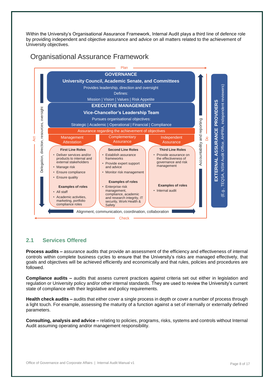Within the University's Organisational Assurance Framework, Internal Audit plays a third line of defence role by providing independent and objective assurance and advice on all matters related to the achievement of University objectives.

Organisational Assurance Framework



# <span id="page-7-0"></span>**2.1 Services Offered**

**Process audits –** assurance audits that provide an assessment of the efficiency and effectiveness of internal controls within complete business cycles to ensure that the University's risks are managed effectively, that goals and objectives will be achieved efficiently and economically and that rules, policies and procedures are followed.

**Compliance audits –** audits that assess current practices against criteria set out either in legislation and regulation or University policy and/or other internal standards. They are used to review the University's current state of compliance with their legislative and policy requirements.

**Health check audits –** audits that either cover a single process in depth or cover a number of process through a light touch. For example, assessing the maturity of a function against a set of internally or externally defined parameters.

**Consulting, analysis and advice –** relating to policies, programs, risks, systems and controls without Internal Audit assuming operating and/or management responsibility.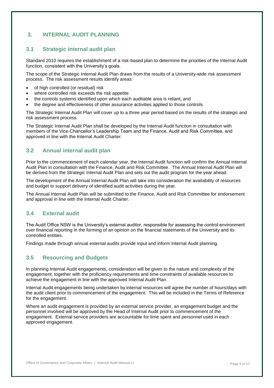# <span id="page-8-0"></span>**3. INTERNAL AUDIT PLANNING**

# <span id="page-8-1"></span>**3.1 Strategic internal audit plan**

Standard 2010 requires the establishment of a risk-based plan to determine the priorities of the Internal Audit function, consistent with the University's goals.

The scope of the Strategic Internal Audit Plan draws from the results of a University-wide risk assessment process. The risk assessment results identify areas:

- of high controlled (or residual) risk
- where controlled risk exceeds the risk appetite
- the controls systems identified upon which each auditable area is reliant, and
- the degree and effectiveness of other assurance activities applied to those controls

The Strategic Internal Audit Plan will cover up to a three year period based on the results of the strategic and risk assessment process.

The Strategic Internal Audit Plan shall be developed by the Internal Audit function in consultation with members of the Vice-Chancellor's Leadership Team and the Finance, Audit and Risk Committee, and approved in line with the Internal Audit Charter.

# <span id="page-8-2"></span>**3.2 Annual internal audit plan**

Prior to the commencement of each calendar year, the Internal Audit function will confirm the Annual Internal Audit Plan in consultation with the Finance, Audit and Risk Committee. The Annual Internal Audit Plan will be derived from the Strategic Internal Audit Plan and sets out the audit program for the year ahead.

The development of the Annual Internal Audit Plan will take into consideration the availability of resources and budget to support delivery of identified audit activities during the year.

The Annual Internal Audit Plan will be submitted to the Finance, Audit and Risk Committee for endorsement and approval in line with the Internal Audit Charter.

# <span id="page-8-3"></span>**3.4 External audit**

The Audit Office NSW is the University's external auditor, responsible for assessing the control environment over financial reporting in the forming of an opinion on the financial statements of the University and its controlled entities.

Findings made through annual external audits provide input and inform Internal Audit planning.

# <span id="page-8-4"></span>**3.5 Resourcing and Budgets**

In planning Internal Audit engagements, consideration will be given to the nature and complexity of the engagement, together with the proficiency requirements and time constraints of available resources to achieve the engagement in line with the approved Internal Audit Plan.

Internal Audit engagements being undertaken by internal resources will agree the number of hours/days with the audit client prior to commencement of the engagement. This will be included in the Terms of Reference for the engagement.

Where an audit engagement is provided by an external service provider, an engagement budget and the personnel involved will be approved by the Head of Internal Audit prior to commencement of the engagement. External service providers are accountable for time spent and personnel used in each approved engagement.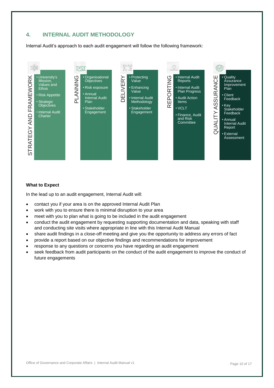# <span id="page-9-0"></span>**4. INTERNAL AUDIT METHODOLOGY**

Internal Audit's approach to each audit engagement will follow the following framework:



#### **What to Expect**

In the lead up to an audit engagement, Internal Audit will:

- contact you if your area is on the approved Internal Audit Plan
- work with you to ensure there is minimal disruption to your area
- meet with you to plan what is going to be included in the audit engagement
- conduct the audit engagement by requesting supporting documentation and data, speaking with staff and conducting site visits where appropriate in line with this Internal Audit Manual
- share audit findings in a close-off meeting and give you the opportunity to address any errors of fact
- provide a report based on our objective findings and recommendations for improvement
- response to any questions or concerns you have regarding an audit engagement
- seek feedback from audit participants on the conduct of the audit engagement to improve the conduct of future engagements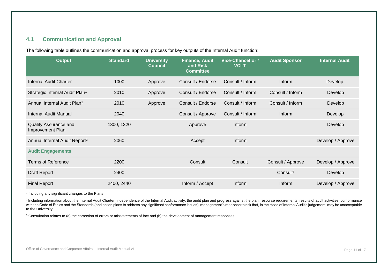# **4.1 Communication and Approval**

The following table outlines the communication and approval process for key outputs of the Internal Audit function:

| <b>Output</b>                              | <b>Standard</b> | <b>University</b><br><b>Council</b> | <b>Finance, Audit</b><br>and Risk<br><b>Committee</b> | <b>Vice-Chancellor /</b><br><b>VCLT</b> | <b>Audit Sponsor</b> | <b>Internal Audit</b> |
|--------------------------------------------|-----------------|-------------------------------------|-------------------------------------------------------|-----------------------------------------|----------------------|-----------------------|
| Internal Audit Charter                     | 1000            | Approve                             | Consult / Endorse                                     | Consult / Inform                        | Inform               | Develop               |
| Strategic Internal Audit Plan <sup>1</sup> | 2010            | Approve                             | Consult / Endorse                                     | Consult / Inform                        | Consult / Inform     | Develop               |
| Annual Internal Audit Plan <sup>1</sup>    | 2010            | Approve                             | Consult / Endorse                                     | Consult / Inform                        | Consult / Inform     | Develop               |
| Internal Audit Manual                      | 2040            |                                     | Consult / Approve                                     | Consult / Inform                        | Inform               | Develop               |
| Quality Assurance and<br>Improvement Plan  | 1300, 1320      |                                     | Approve                                               | Inform                                  |                      | Develop               |
| Annual Internal Audit Report <sup>2</sup>  | 2060            |                                     | Accept                                                | Inform                                  |                      | Develop / Approve     |
| <b>Audit Engagements</b>                   |                 |                                     |                                                       |                                         |                      |                       |
| <b>Terms of Reference</b>                  | 2200            |                                     | Consult                                               | Consult                                 | Consult / Approve    | Develop / Approve     |
| Draft Report                               | 2400            |                                     |                                                       |                                         | Consult <sup>3</sup> | Develop               |
| <b>Final Report</b>                        | 2400, 2440      |                                     | Inform / Accept                                       | Inform                                  | Inform               | Develop / Approve     |

<span id="page-10-0"></span><sup>1</sup> Including any significant changes to the Plans

<sup>2</sup> Including information about the Internal Audit Charter, independence of the Internal Audit activity, the audit plan and progress against the plan, resource requirements, results of audit activities, conformance with the Code of Ethics and the Standards (and action plans to address any significant conformance issues), management's response to risk that, in the Head of Internal Audit's judgement, may be unacceptable to the University

<sup>3</sup> Consultation relates to (a) the correction of errors or misstatements of fact and (b) the development of management responses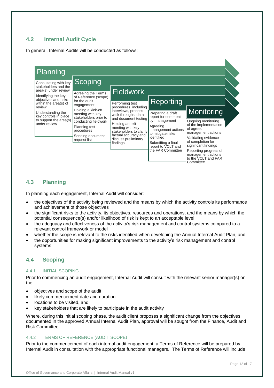# <span id="page-11-0"></span>**4.2 Internal Audit Cycle**

In general, Internal Audits will be conducted as follows:



# <span id="page-11-1"></span>**4.3 Planning**

In planning each engagement, Internal Audit will consider:

- the objectives of the activity being reviewed and the means by which the activity controls its performance and achievement of those objectives
- the significant risks to the activity, its objectives, resources and operations, and the means by which the potential consequence(s) and/or likelihood of risk is kept to an acceptable level
- the adequacy and effectiveness of the activity's risk management and control systems compared to a relevant control framework or model
- whether the scope is relevant to the risks identified when developing the Annual Internal Audit Plan, and
- the opportunities for making significant improvements to the activity's risk management and control systems

# <span id="page-11-2"></span>**4.4 Scoping**

#### 4.4.1 INITIAL SCOPING

Prior to commencing an audit engagement, Internal Audit will consult with the relevant senior manager(s) on the:

- objectives and scope of the audit
- likely commencement date and duration
- locations to be visited, and
- key stakeholders that are likely to participate in the audit activity

Where, during this initial scoping phase, the audit client proposes a significant change from the objectives documented in the approved Annual Internal Audit Plan, approval will be sought from the Finance, Audit and Risk Committee.

#### 4.4.2 TERMS OF REFERENCE (AUDIT SCOPE)

Prior to the commencement of each internal audit engagement, a Terms of Reference will be prepared by Internal Audit in consultation with the appropriate functional managers. The Terms of Reference will include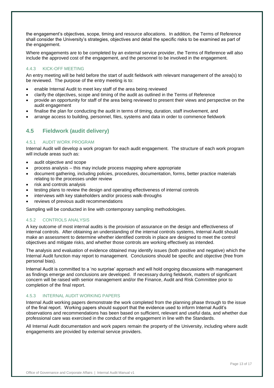the engagement's objectives, scope, timing and resource allocations. In addition, the Terms of Reference shall consider the University's strategies, objectives and detail the specific risks to be examined as part of the engagement.

Where engagements are to be completed by an external service provider, the Terms of Reference will also include the approved cost of the engagement, and the personnel to be involved in the engagement.

#### 4.4.3 KICK-OFF MEETING

An entry meeting will be held before the start of audit fieldwork with relevant management of the area(s) to be reviewed. The purpose of the entry meeting is to:

- enable Internal Audit to meet key staff of the area being reviewed
- clarify the objectives, scope and timing of the audit as outlined in the Terms of Reference
- provide an opportunity for staff of the area being reviewed to present their views and perspective on the audit engagement
- finalise the plan for conducting the audit in terms of timing, duration, staff involvement, and
- arrange access to building, personnel, files, systems and data in order to commence fieldwork

# <span id="page-12-0"></span>**4.5 Fieldwork (audit delivery)**

#### 4.5.1 AUDIT WORK PROGRAM

Internal Audit will develop a work program for each audit engagement. The structure of each work program will include areas such as:

- audit objective and scope
- process analysis this may include process mapping where appropriate
- document gathering, including policies, procedures, documentation, forms, better practice materials relating to the processes under review
- risk and controls analysis
- testing plans to review the design and operating effectiveness of internal controls
- interviews with key stakeholders and/or process walk-throughs
- reviews of previous audit recommendations

Sampling will be conducted in line with contemporary sampling methodologies.

#### 4.5.2 CONTROLS ANALYSIS

A key outcome of most internal audits is the provision of assurance on the design and effectiveness of internal controls. After obtaining an understanding of the internal controls systems, Internal Audit should make an assessment to determine whether identified controls in place are designed to meet the control objectives and mitigate risks, and whether those controls are working effectively as intended.

The analysis and evaluation of evidence obtained may identify issues (both positive and negative) which the Internal Audit function may report to management. Conclusions should be specific and objective (free from personal bias).

Internal Audit is committed to a 'no surprise' approach and will hold ongoing discussions with management as findings emerge and conclusions are developed. If necessary during fieldwork, matters of significant concern will be raised with senior management and/or the Finance, Audit and Risk Committee prior to completion of the final report.

#### 4.5.3 INTERNAL AUDIT WORKING PAPERS

Internal Audit working papers demonstrate the work completed from the planning phase through to the issue of the final report. Working papers should support that the evidence used to inform Internal Audit's observations and recommendations has been based on sufficient, relevant and useful data, and whether due professional care was exercised in the conduct of the engagement in line with the Standards.

All Internal Audit documentation and work papers remain the property of the University, including where audit engagements are provided by external service providers.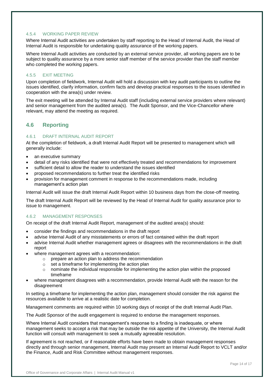#### 4.5.4 WORKING PAPER REVIEW

Where Internal Audit activities are undertaken by staff reporting to the Head of Internal Audit, the Head of Internal Audit is responsible for undertaking quality assurance of the working papers.

Where Internal Audit activities are conducted by an external service provider, all working papers are to be subject to quality assurance by a more senior staff member of the service provider than the staff member who completed the working papers.

#### 4.5.5 EXIT MEETING

Upon completion of fieldwork, Internal Audit will hold a discussion with key audit participants to outline the issues identified, clarify information, confirm facts and develop practical responses to the issues identified in cooperation with the area(s) under review.

The exit meeting will be attended by Internal Audit staff (including external service providers where relevant) and senior management from the audited area(s). The Audit Sponsor, and the Vice-Chancellor where relevant, may attend the meeting as required.

# <span id="page-13-0"></span>**4.6 Reporting**

#### 4.6.1 DRAFT INTERNAL AUDIT REPORT

At the completion of fieldwork, a draft Internal Audit Report will be presented to management which will generally include:

- an executive summary
- detail of any risks identified that were not effectively treated and recommendations for improvement
- sufficient detail to allow the reader to understand the issues identified
- proposed recommendations to further treat the identified risks
- provision for management comment in response to the recommendations made, including management's action plan

Internal Audit will issue the draft Internal Audit Report within 10 business days from the close-off meeting.

The draft Internal Audit Report will be reviewed by the Head of Internal Audit for quality assurance prior to issue to management.

#### 4.6.2 MANAGEMENT RESPONSES

On receipt of the draft Internal Audit Report, management of the audited area(s) should:

- consider the findings and recommendations in the draft report
- advise Internal Audit of any misstatements or errors of fact contained within the draft report
- advise Internal Audit whether management agrees or disagrees with the recommendations in the draft report
- where management agrees with a recommendation:
	- o prepare an action plan to address the recommendation
	- o set a timeframe for implementing the action plan
	- $\circ$  nominate the individual responsible for implementing the action plan within the proposed timeframe
- where management disagrees with a recommendation, provide Internal Audit with the reason for the disagreement

In setting a timeframe for implementing the action plan, management should consider the risk against the resources available to arrive at a realistic date for completion.

Management comments are required within 10 working days of receipt of the draft Internal Audit Plan.

The Audit Sponsor of the audit engagement is required to endorse the management responses.

Where Internal Audit considers that management's response to a finding is inadequate, or where management seeks to accept a risk that may be outside the risk appetite of the University, the Internal Audit function will consult with management to seek a mutually agreeable resolution.

If agreement is not reached, or if reasonable efforts have been made to obtain management responses directly and through senior management, Internal Audit may present an Internal Audit Report to VCLT and/or the Finance, Audit and Risk Committee without management responses.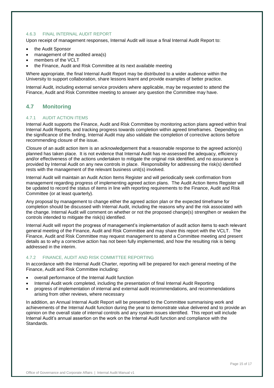#### 4.6.3 FINAL INTERNAL AUDIT REPORT

Upon receipt of management responses, Internal Audit will issue a final Internal Audit Report to:

- the Audit Sponsor
- management of the audited area(s)
- members of the VCLT
- the Finance, Audit and Risk Committee at its next available meeting

Where appropriate, the final Internal Audit Report may be distributed to a wider audience within the University to support collaboration, share lessons learnt and provide examples of better practice.

Internal Audit, including external service providers where applicable, may be requested to attend the Finance, Audit and Risk Committee meeting to answer any question the Committee may have.

# <span id="page-14-0"></span>**4.7 Monitoring**

#### 4.7.1 AUDIT ACTION ITEMS

Internal Audit supports the Finance, Audit and Risk Committee by monitoring action plans agreed within final Internal Audit Reports, and tracking progress towards completion within agreed timeframes. Depending on the significance of the finding, Internal Audit may also validate the completion of corrective actions before recommending closure of the issue.

Closure of an audit action item is an acknowledgement that a reasonable response to the agreed action(s) planned has taken place. It is not evidence that Internal Audit has re-assessed the adequacy, efficiency and/or effectiveness of the actions undertaken to mitigate the original risk identified, and no assurance is provided by Internal Audit on any new controls in place. Responsibility for addressing the risk(s) identified rests with the management of the relevant business unit(s) involved.

Internal Audit will maintain an Audit Action Items Register and will periodically seek confirmation from management regarding progress of implementing agreed action plans. The Audit Action Items Register will be updated to record the status of items in line with reporting requirements to the Finance, Audit and Risk Committee (or at least quarterly).

Any proposal by management to change either the agreed action plan or the expected timeframe for completion should be discussed with Internal Audit, including the reasons why and the risk associated with the change. Internal Audit will comment on whether or not the proposed change(s) strengthen or weaken the controls intended to mitigate the risk(s) identified.

Internal Audit will report the progress of management's implementation of audit action items to each relevant general meeting of the Finance, Audit and Risk Committee and may share this report with the VCLT. The Finance, Audit and Risk Committee may request management to attend a Committee meeting and present details as to why a corrective action has not been fully implemented, and how the resulting risk is being addressed in the interim.

#### 4.7.2 FINANCE, AUDIT AND RISK COMMITTEE REPORTING

In accordance with the Internal Audit Charter, reporting will be prepared for each general meeting of the Finance, Audit and Risk Committee including:

- overall performance of the Internal Audit function
- Internal Audit work completed, including the presentation of final Internal Audit Reporting
- progress of implementation of internal and external audit recommendations, and recommendations arising from other reviews, where necessary

In addition, an Annual Internal Audit Report will be presented to the Committee summarising work and achievements of the Internal Audit function during the year to demonstrate value delivered and to provide an opinion on the overall state of internal controls and any system issues identified. This report will include Internal Audit's annual assertion on the work on the Internal Audit function and compliance with the **Standards**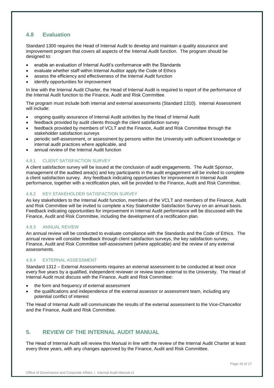# <span id="page-15-0"></span>**4.8 Evaluation**

Standard 1300 requires the Head of Internal Audit to develop and maintain a quality assurance and improvement program that covers all aspects of the Internal Audit function. The program should be designed to:

- enable an evaluation of Internal Audit's conformance with the Standards
- evaluate whether staff within Internal Auditor apply the Code of Ethics
- assess the efficiency and effectiveness of the Internal Audit function
- identify opportunities for improvement

In line with the Internal Audit Charter, the Head of Internal Audit is required to report of the performance of the Internal Audit function to the Finance, Audit and Risk Committee.

The program must include both internal and external assessments (Standard 1310). Internal Assessment will include:

- ongoing quality assurance of Internal Audit activities by the Head of Internal Audit
- feedback provided by audit clients through the client satisfaction survey
- feedback provided by members of VCLT and the Finance, Audit and Risk Committee through the stakeholder satisfaction surveys
- periodic self-assessment, or assessment by persons within the University with sufficient knowledge or internal audit practices where applicable, and
- annual review of the Internal Audit function

### 4.8.1 CLIENT SATISFACTION SURVEY

A client satisfaction survey will be issued at the conclusion of audit engagements. The Audit Sponsor, management of the audited area(s) and key participants in the audit engagement will be invited to complete a client satisfaction survey. Any feedback indicating opportunities for improvement in Internal Audit performance, together with a rectification plan, will be provided to the Finance, Audit and Risk Committee.

#### 4.8.2 KEY STAKEHOLDER SATISFACTION SURVEY

As key stakeholders to the Internal Audit function, members of the VCLT and members of the Finance, Audit and Risk Committee will be invited to complete a Key Stakeholder Satisfaction Survey on an annual basis. Feedback indicating opportunities for improvement in Internal Audit performance will be discussed with the Finance, Audit and Risk Committee, including the development of a rectification plan.

#### 4.8.3 ANNUAL REVIEW

An annual review will be conducted to evaluate compliance with the Standards and the Code of Ethics. The annual review will consider feedback through client satisfaction surveys, the key satisfaction survey, Finance, Audit and Risk Committee self-assessment (where applicable) and the review of any external assessments.

#### 4.8.4 EXTERNAL ASSESSMENT

Standard 1312 – External Assessments requires an external assessment to be conducted at least once every five years by a qualified, independent reviewer or review team external to the University. The Head of Internal Audit must discuss with the Finance, Audit and Risk Committee:

- the form and frequency of external assessment
- the qualifications and independence of the external assessor or assessment team, including any potential conflict of interest

The Head of Internal Audit will communicate the results of the external assessment to the Vice-Chancellor and the Finance, Audit and Risk Committee.

# <span id="page-15-1"></span>**5. REVIEW OF THE INTERNAL AUDIT MANUAL**

The Head of Internal Audit will review this Manual in line with the review of the Internal Audit Charter at least every three years, with any changes approved by the Finance, Audit and Risk Committee.